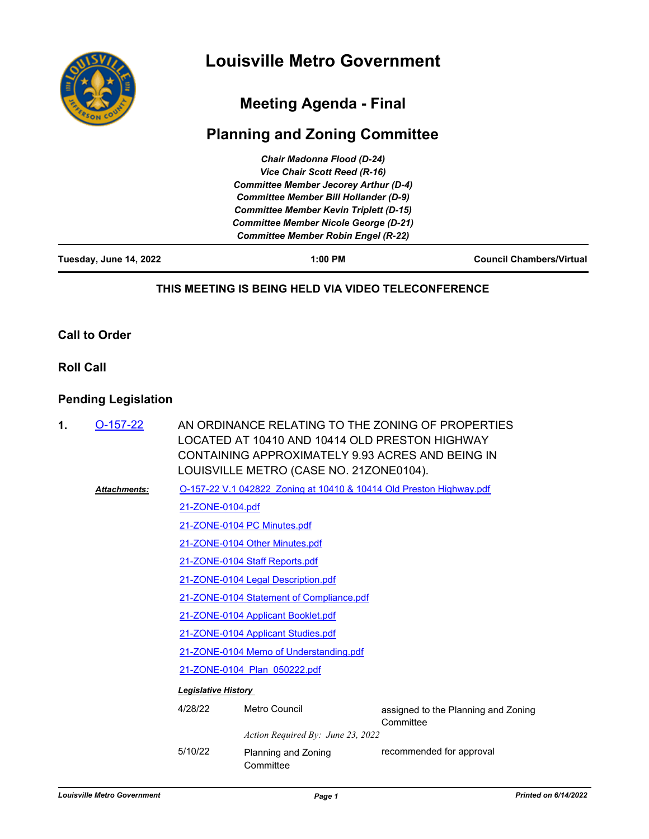

## **Meeting Agenda - Final**

# **Planning and Zoning Committee**

| Tuesday, June 14, 2022 | 1:00 PM                                       | <b>Council Chambers/Virtual</b> |
|------------------------|-----------------------------------------------|---------------------------------|
|                        | <b>Committee Member Robin Engel (R-22)</b>    |                                 |
|                        | <b>Committee Member Nicole George (D-21)</b>  |                                 |
|                        | <b>Committee Member Kevin Triplett (D-15)</b> |                                 |
|                        | <b>Committee Member Bill Hollander (D-9)</b>  |                                 |
|                        | <b>Committee Member Jecorey Arthur (D-4)</b>  |                                 |
|                        | Vice Chair Scott Reed (R-16)                  |                                 |
|                        | <b>Chair Madonna Flood (D-24)</b>             |                                 |

#### **THIS MEETING IS BEING HELD VIA VIDEO TELECONFERENCE**

#### **Call to Order**

#### **Roll Call**

## **Pending Legislation**

| 1. | $O-157-22$          | AN ORDINANCE RELATING TO THE ZONING OF PROPERTIES<br>LOCATED AT 10410 AND 10414 OLD PRESTON HIGHWAY<br>CONTAINING APPROXIMATELY 9.93 ACRES AND BEING IN<br>LOUISVILLE METRO (CASE NO. 21ZONE0104). |                                                                     |                                                  |  |  |  |
|----|---------------------|----------------------------------------------------------------------------------------------------------------------------------------------------------------------------------------------------|---------------------------------------------------------------------|--------------------------------------------------|--|--|--|
|    | <b>Attachments:</b> |                                                                                                                                                                                                    | O-157-22 V.1 042822 Zoning at 10410 & 10414 Old Preston Highway.pdf |                                                  |  |  |  |
|    |                     | 21-ZONE-0104.pdf                                                                                                                                                                                   |                                                                     |                                                  |  |  |  |
|    |                     |                                                                                                                                                                                                    | 21-ZONE-0104 PC Minutes.pdf                                         |                                                  |  |  |  |
|    |                     |                                                                                                                                                                                                    | 21-ZONE-0104 Other Minutes.pdf                                      |                                                  |  |  |  |
|    |                     |                                                                                                                                                                                                    | 21-ZONE-0104 Staff Reports.pdf                                      |                                                  |  |  |  |
|    |                     |                                                                                                                                                                                                    | 21-ZONE-0104 Legal Description.pdf                                  |                                                  |  |  |  |
|    |                     |                                                                                                                                                                                                    | 21-ZONE-0104 Statement of Compliance.pdf                            |                                                  |  |  |  |
|    |                     | 21-ZONE-0104 Applicant Booklet.pdf                                                                                                                                                                 |                                                                     |                                                  |  |  |  |
|    |                     | 21-ZONE-0104 Applicant Studies.pdf                                                                                                                                                                 |                                                                     |                                                  |  |  |  |
|    |                     | 21-ZONE-0104 Memo of Understanding.pdf                                                                                                                                                             |                                                                     |                                                  |  |  |  |
|    |                     | 21-ZONE-0104 Plan 050222.pdf                                                                                                                                                                       |                                                                     |                                                  |  |  |  |
|    |                     | <b>Legislative History</b>                                                                                                                                                                         |                                                                     |                                                  |  |  |  |
|    |                     | 4/28/22                                                                                                                                                                                            | Metro Council                                                       | assigned to the Planning and Zoning<br>Committee |  |  |  |
|    |                     |                                                                                                                                                                                                    | Action Required By: June 23, 2022                                   |                                                  |  |  |  |
|    |                     | 5/10/22                                                                                                                                                                                            | Planning and Zoning<br>Committee                                    | recommended for approval                         |  |  |  |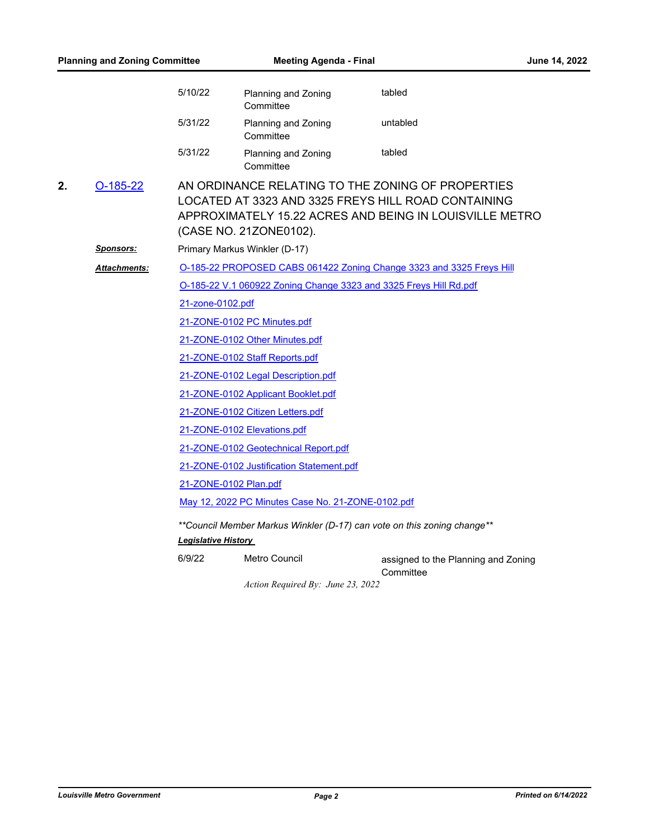| <b>Planning and Zoning Committee</b> |                     | <b>Meeting Agenda - Final</b> |                                                                   | June 14, 2022                                                                                                                                                       |  |  |  |  |
|--------------------------------------|---------------------|-------------------------------|-------------------------------------------------------------------|---------------------------------------------------------------------------------------------------------------------------------------------------------------------|--|--|--|--|
|                                      |                     | 5/10/22                       | Planning and Zoning<br>Committee                                  | tabled                                                                                                                                                              |  |  |  |  |
|                                      |                     | 5/31/22                       | Planning and Zoning<br>Committee                                  | untabled                                                                                                                                                            |  |  |  |  |
|                                      |                     | 5/31/22                       | Planning and Zoning<br>Committee                                  | tabled                                                                                                                                                              |  |  |  |  |
| 2.                                   | $O-185-22$          |                               | (CASE NO. 21ZONE0102).                                            | AN ORDINANCE RELATING TO THE ZONING OF PROPERTIES<br>LOCATED AT 3323 AND 3325 FREYS HILL ROAD CONTAINING<br>APPROXIMATELY 15.22 ACRES AND BEING IN LOUISVILLE METRO |  |  |  |  |
|                                      | <u>Sponsors:</u>    |                               | Primary Markus Winkler (D-17)                                     |                                                                                                                                                                     |  |  |  |  |
|                                      | <b>Attachments:</b> |                               |                                                                   | O-185-22 PROPOSED CABS 061422 Zoning Change 3323 and 3325 Freys Hill                                                                                                |  |  |  |  |
|                                      |                     |                               | O-185-22 V.1 060922 Zoning Change 3323 and 3325 Freys Hill Rd.pdf |                                                                                                                                                                     |  |  |  |  |
|                                      |                     | 21-zone-0102.pdf              |                                                                   |                                                                                                                                                                     |  |  |  |  |
|                                      |                     |                               | 21-ZONE-0102 PC Minutes.pdf                                       |                                                                                                                                                                     |  |  |  |  |
|                                      |                     |                               | 21-ZONE-0102 Other Minutes.pdf                                    |                                                                                                                                                                     |  |  |  |  |
|                                      |                     |                               | 21-ZONE-0102 Staff Reports.pdf                                    |                                                                                                                                                                     |  |  |  |  |
|                                      |                     |                               | 21-ZONE-0102 Legal Description.pdf                                |                                                                                                                                                                     |  |  |  |  |
|                                      |                     |                               | 21-ZONE-0102 Applicant Booklet.pdf                                |                                                                                                                                                                     |  |  |  |  |
|                                      |                     |                               | 21-ZONE-0102 Citizen Letters.pdf                                  |                                                                                                                                                                     |  |  |  |  |
|                                      |                     |                               | 21-ZONE-0102 Elevations.pdf                                       |                                                                                                                                                                     |  |  |  |  |
|                                      |                     |                               | 21-ZONE-0102 Geotechnical Report.pdf                              |                                                                                                                                                                     |  |  |  |  |
|                                      |                     |                               | 21-ZONE-0102 Justification Statement.pdf                          |                                                                                                                                                                     |  |  |  |  |
|                                      |                     |                               | 21-ZONE-0102 Plan.pdf                                             |                                                                                                                                                                     |  |  |  |  |
|                                      |                     |                               | May 12, 2022 PC Minutes Case No. 21-ZONE-0102.pdf                 |                                                                                                                                                                     |  |  |  |  |
|                                      |                     | <u> Legislative History</u>   |                                                                   | ** Council Member Markus Winkler (D-17) can vote on this zoning change**                                                                                            |  |  |  |  |
|                                      |                     | 6/9/22                        | Metro Council                                                     | assigned to the Planning and Zoning                                                                                                                                 |  |  |  |  |

*Action Required By: June 23, 2022*

**Committee**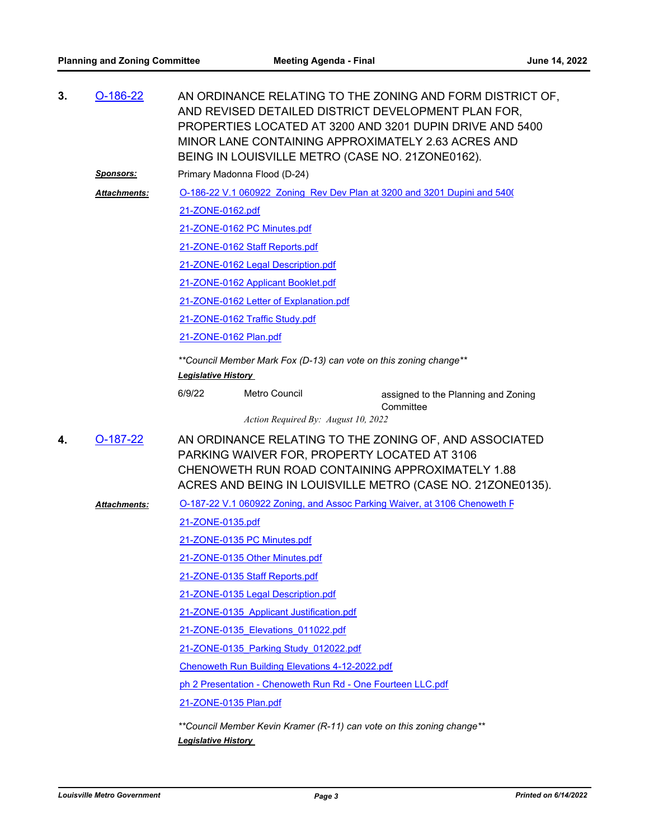| 3. | $O-186-22$       | AN ORDINANCE RELATING TO THE ZONING AND FORM DISTRICT OF,<br>AND REVISED DETAILED DISTRICT DEVELOPMENT PLAN FOR,<br>PROPERTIES LOCATED AT 3200 AND 3201 DUPIN DRIVE AND 5400<br>MINOR LANE CONTAINING APPROXIMATELY 2.63 ACRES AND<br>BEING IN LOUISVILLE METRO (CASE NO. 21ZONE0162). |                                                             |                                                                          |  |  |  |
|----|------------------|----------------------------------------------------------------------------------------------------------------------------------------------------------------------------------------------------------------------------------------------------------------------------------------|-------------------------------------------------------------|--------------------------------------------------------------------------|--|--|--|
|    | <u>Sponsors:</u> | Primary Madonna Flood (D-24)                                                                                                                                                                                                                                                           |                                                             |                                                                          |  |  |  |
|    | Attachments:     |                                                                                                                                                                                                                                                                                        |                                                             | O-186-22 V.1 060922 Zoning Rev Dev Plan at 3200 and 3201 Dupini and 540( |  |  |  |
|    |                  | 21-ZONE-0162.pdf                                                                                                                                                                                                                                                                       |                                                             |                                                                          |  |  |  |
|    |                  |                                                                                                                                                                                                                                                                                        | 21-ZONE-0162 PC Minutes.pdf                                 |                                                                          |  |  |  |
|    |                  |                                                                                                                                                                                                                                                                                        | 21-ZONE-0162 Staff Reports.pdf                              |                                                                          |  |  |  |
|    |                  |                                                                                                                                                                                                                                                                                        | 21-ZONE-0162 Legal Description.pdf                          |                                                                          |  |  |  |
|    |                  |                                                                                                                                                                                                                                                                                        | 21-ZONE-0162 Applicant Booklet.pdf                          |                                                                          |  |  |  |
|    |                  |                                                                                                                                                                                                                                                                                        | 21-ZONE-0162 Letter of Explanation.pdf                      |                                                                          |  |  |  |
|    |                  |                                                                                                                                                                                                                                                                                        | 21-ZONE-0162 Traffic Study.pdf                              |                                                                          |  |  |  |
|    |                  | 21-ZONE-0162 Plan.pdf                                                                                                                                                                                                                                                                  |                                                             |                                                                          |  |  |  |
|    |                  | ** Council Member Mark Fox (D-13) can vote on this zoning change**<br><b>Legislative History</b>                                                                                                                                                                                       |                                                             |                                                                          |  |  |  |
|    |                  | 6/9/22                                                                                                                                                                                                                                                                                 | Metro Council                                               | assigned to the Planning and Zoning<br>Committee                         |  |  |  |
|    |                  |                                                                                                                                                                                                                                                                                        | Action Required By: August 10, 2022                         |                                                                          |  |  |  |
| 4. | $O-187-22$       | AN ORDINANCE RELATING TO THE ZONING OF, AND ASSOCIATED<br>PARKING WAIVER FOR, PROPERTY LOCATED AT 3106<br>CHENOWETH RUN ROAD CONTAINING APPROXIMATELY 1.88<br>ACRES AND BEING IN LOUISVILLE METRO (CASE NO. 21ZONE0135).                                                               |                                                             |                                                                          |  |  |  |
|    | Attachments:     | O-187-22 V.1 060922 Zoning, and Assoc Parking Waiver, at 3106 Chenoweth F                                                                                                                                                                                                              |                                                             |                                                                          |  |  |  |
|    |                  | 21-ZONE-0135.pdf                                                                                                                                                                                                                                                                       |                                                             |                                                                          |  |  |  |
|    |                  | 21-ZONE-0135 PC Minutes.pdf                                                                                                                                                                                                                                                            |                                                             |                                                                          |  |  |  |
|    |                  |                                                                                                                                                                                                                                                                                        | 21-ZONE-0135 Other Minutes.pdf                              |                                                                          |  |  |  |
|    |                  |                                                                                                                                                                                                                                                                                        | 21-ZONE-0135 Staff Reports.pdf                              |                                                                          |  |  |  |
|    |                  |                                                                                                                                                                                                                                                                                        | 21-ZONE-0135 Legal Description.pdf                          |                                                                          |  |  |  |
|    |                  |                                                                                                                                                                                                                                                                                        | 21-ZONE-0135 Applicant Justification.pdf                    |                                                                          |  |  |  |
|    |                  |                                                                                                                                                                                                                                                                                        | 21-ZONE-0135 Elevations 011022.pdf                          |                                                                          |  |  |  |
|    |                  |                                                                                                                                                                                                                                                                                        | 21-ZONE-0135 Parking Study 012022.pdf                       |                                                                          |  |  |  |
|    |                  |                                                                                                                                                                                                                                                                                        | Chenoweth Run Building Elevations 4-12-2022.pdf             |                                                                          |  |  |  |
|    |                  |                                                                                                                                                                                                                                                                                        | ph 2 Presentation - Chenoweth Run Rd - One Fourteen LLC.pdf |                                                                          |  |  |  |
|    |                  |                                                                                                                                                                                                                                                                                        | 21-ZONE-0135 Plan.pdf                                       |                                                                          |  |  |  |
|    |                  | <b>Legislative History</b>                                                                                                                                                                                                                                                             |                                                             | **Council Member Kevin Kramer (R-11) can vote on this zoning change**    |  |  |  |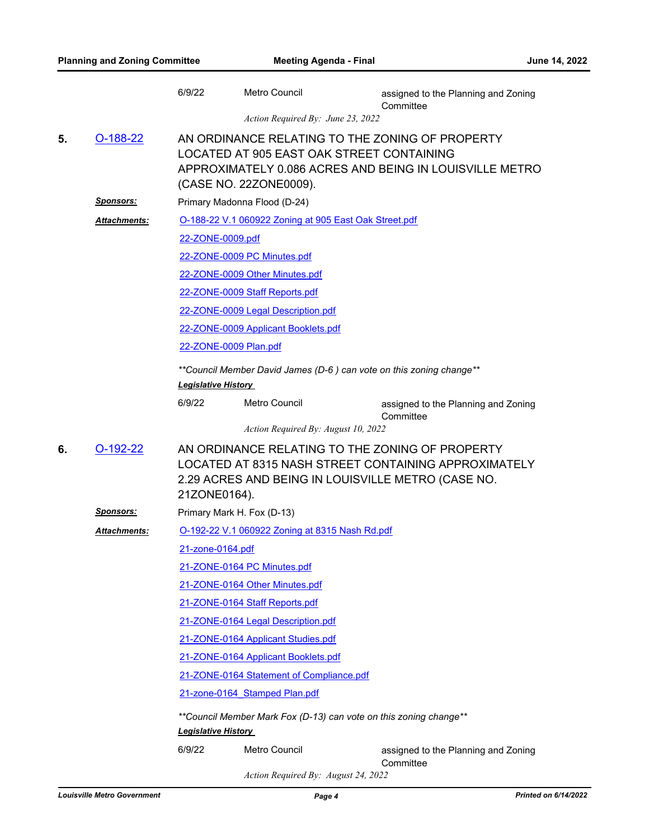|    |                      | 6/9/22                        | Metro Council                                                                                                          | assigned to the Planning and Zoning                     |  |  |
|----|----------------------|-------------------------------|------------------------------------------------------------------------------------------------------------------------|---------------------------------------------------------|--|--|
|    |                      |                               | Action Required By: June 23, 2022                                                                                      | Committee                                               |  |  |
| 5. | $O-188-22$           |                               | AN ORDINANCE RELATING TO THE ZONING OF PROPERTY<br>LOCATED AT 905 EAST OAK STREET CONTAINING<br>(CASE NO. 22ZONE0009). | APPROXIMATELY 0.086 ACRES AND BEING IN LOUISVILLE METRO |  |  |
|    | <u>Sponsors:</u>     |                               | Primary Madonna Flood (D-24)                                                                                           |                                                         |  |  |
|    | Attachments:         |                               | O-188-22 V.1 060922 Zoning at 905 East Oak Street.pdf                                                                  |                                                         |  |  |
|    |                      | 22-ZONE-0009.pdf              |                                                                                                                        |                                                         |  |  |
|    |                      |                               | 22-ZONE-0009 PC Minutes.pdf                                                                                            |                                                         |  |  |
|    |                      |                               | 22-ZONE-0009 Other Minutes.pdf                                                                                         |                                                         |  |  |
|    |                      |                               | 22-ZONE-0009 Staff Reports.pdf                                                                                         |                                                         |  |  |
|    |                      |                               | 22-ZONE-0009 Legal Description.pdf                                                                                     |                                                         |  |  |
|    |                      |                               | 22-ZONE-0009 Applicant Booklets.pdf                                                                                    |                                                         |  |  |
|    |                      | 22-ZONE-0009 Plan.pdf         |                                                                                                                        |                                                         |  |  |
|    |                      | <b>Legislative History</b>    | ** Council Member David James (D-6) can vote on this zoning change**                                                   |                                                         |  |  |
|    |                      | 6/9/22                        | Metro Council                                                                                                          | assigned to the Planning and Zoning<br>Committee        |  |  |
|    |                      |                               | Action Required By: August 10, 2022                                                                                    |                                                         |  |  |
| 6. | $O-192-22$           | 21ZONE0164).                  | AN ORDINANCE RELATING TO THE ZONING OF PROPERTY<br>2.29 ACRES AND BEING IN LOUISVILLE METRO (CASE NO.                  | LOCATED AT 8315 NASH STREET CONTAINING APPROXIMATELY    |  |  |
|    | Sponsors:            | Primary Mark H. Fox (D-13)    |                                                                                                                        |                                                         |  |  |
|    | <u> Attachments:</u> |                               | O-192-22 V.1 060922 Zoning at 8315 Nash Rd.pdf                                                                         |                                                         |  |  |
|    |                      | 21-zone-0164.pdf              |                                                                                                                        |                                                         |  |  |
|    |                      |                               | 21-ZONE-0164 PC Minutes.pdf                                                                                            |                                                         |  |  |
|    |                      |                               | 21-ZONE-0164 Other Minutes.pdf                                                                                         |                                                         |  |  |
|    |                      |                               | 21-ZONE-0164 Staff Reports.pdf                                                                                         |                                                         |  |  |
|    |                      |                               | 21-ZONE-0164 Legal Description.pdf                                                                                     |                                                         |  |  |
|    |                      |                               | 21-ZONE-0164 Applicant Studies.pdf                                                                                     |                                                         |  |  |
|    |                      |                               | 21-ZONE-0164 Applicant Booklets.pdf                                                                                    |                                                         |  |  |
|    |                      |                               | 21-ZONE-0164 Statement of Compliance.pdf                                                                               |                                                         |  |  |
|    |                      | 21-zone-0164 Stamped Plan.pdf |                                                                                                                        |                                                         |  |  |
|    |                      | <b>Legislative History</b>    | **Council Member Mark Fox (D-13) can vote on this zoning change**                                                      |                                                         |  |  |
|    |                      | 6/9/22                        | Metro Council                                                                                                          | assigned to the Planning and Zoning<br>Committee        |  |  |

*Action Required By: August 24, 2022*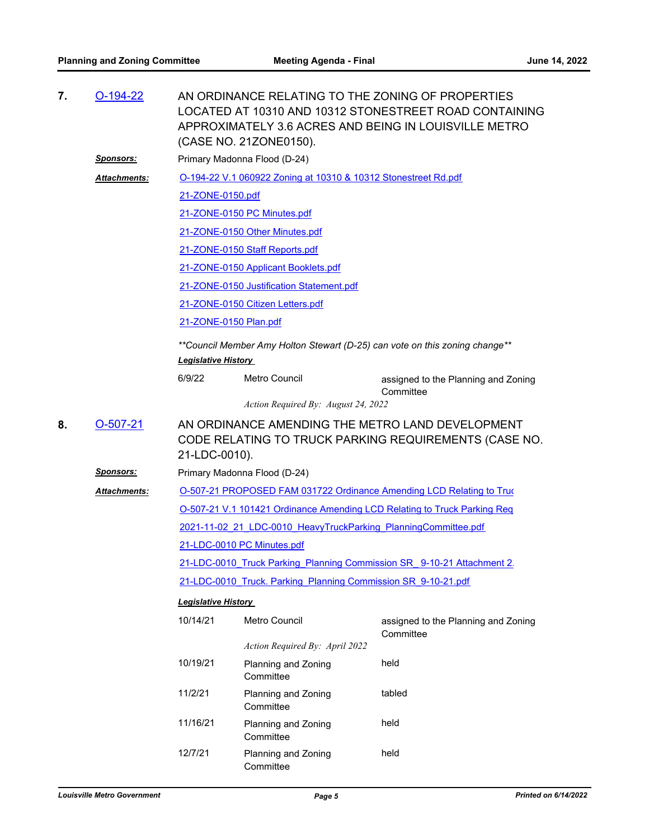| 7. | $O-194-22$       | AN ORDINANCE RELATING TO THE ZONING OF PROPERTIES<br>LOCATED AT 10310 AND 10312 STONESTREET ROAD CONTAINING<br>APPROXIMATELY 3.6 ACRES AND BEING IN LOUISVILLE METRO<br>(CASE NO. 21ZONE0150). |                                                                |                                                                                                           |  |  |  |
|----|------------------|------------------------------------------------------------------------------------------------------------------------------------------------------------------------------------------------|----------------------------------------------------------------|-----------------------------------------------------------------------------------------------------------|--|--|--|
|    | <u>Sponsors:</u> | Primary Madonna Flood (D-24)                                                                                                                                                                   |                                                                |                                                                                                           |  |  |  |
|    | Attachments:     |                                                                                                                                                                                                | O-194-22 V.1 060922 Zoning at 10310 & 10312 Stonestreet Rd.pdf |                                                                                                           |  |  |  |
|    |                  | 21-ZONE-0150.pdf                                                                                                                                                                               |                                                                |                                                                                                           |  |  |  |
|    |                  |                                                                                                                                                                                                | 21-ZONE-0150 PC Minutes.pdf                                    |                                                                                                           |  |  |  |
|    |                  |                                                                                                                                                                                                | 21-ZONE-0150 Other Minutes.pdf                                 |                                                                                                           |  |  |  |
|    |                  |                                                                                                                                                                                                | 21-ZONE-0150 Staff Reports.pdf                                 |                                                                                                           |  |  |  |
|    |                  |                                                                                                                                                                                                | 21-ZONE-0150 Applicant Booklets.pdf                            |                                                                                                           |  |  |  |
|    |                  |                                                                                                                                                                                                | 21-ZONE-0150 Justification Statement.pdf                       |                                                                                                           |  |  |  |
|    |                  |                                                                                                                                                                                                | 21-ZONE-0150 Citizen Letters.pdf                               |                                                                                                           |  |  |  |
|    |                  |                                                                                                                                                                                                | 21-ZONE-0150 Plan.pdf                                          |                                                                                                           |  |  |  |
|    |                  | **Council Member Amy Holton Stewart (D-25) can vote on this zoning change**<br><b>Legislative History</b>                                                                                      |                                                                |                                                                                                           |  |  |  |
|    |                  | 6/9/22                                                                                                                                                                                         | Metro Council                                                  | assigned to the Planning and Zoning<br>Committee                                                          |  |  |  |
|    |                  |                                                                                                                                                                                                | Action Required By: August 24, 2022                            |                                                                                                           |  |  |  |
| 8. | $O-507-21$       | 21-LDC-0010).                                                                                                                                                                                  |                                                                | AN ORDINANCE AMENDING THE METRO LAND DEVELOPMENT<br>CODE RELATING TO TRUCK PARKING REQUIREMENTS (CASE NO. |  |  |  |
|    | <u>Sponsors:</u> | Primary Madonna Flood (D-24)                                                                                                                                                                   |                                                                |                                                                                                           |  |  |  |
|    | Attachments:     |                                                                                                                                                                                                |                                                                | O-507-21 PROPOSED FAM 031722 Ordinance Amending LCD Relating to Truc                                      |  |  |  |
|    |                  | O-507-21 V.1 101421 Ordinance Amending LCD Relating to Truck Parking Req                                                                                                                       |                                                                |                                                                                                           |  |  |  |
|    |                  | 2021-11-02 21 LDC-0010 HeavyTruckParking PlanningCommittee.pdf                                                                                                                                 |                                                                |                                                                                                           |  |  |  |
|    |                  | 21-LDC-0010 PC Minutes.pdf                                                                                                                                                                     |                                                                |                                                                                                           |  |  |  |
|    |                  | 21-LDC-0010 Truck Parking Planning Commission SR 9-10-21 Attachment 2                                                                                                                          |                                                                |                                                                                                           |  |  |  |
|    |                  | 21-LDC-0010 Truck. Parking Planning Commission SR 9-10-21.pdf                                                                                                                                  |                                                                |                                                                                                           |  |  |  |
|    |                  | <b>Legislative History</b>                                                                                                                                                                     |                                                                |                                                                                                           |  |  |  |
|    |                  | 10/14/21                                                                                                                                                                                       | <b>Metro Council</b>                                           | assigned to the Planning and Zoning<br>Committee                                                          |  |  |  |
|    |                  |                                                                                                                                                                                                | Action Required By: April 2022                                 |                                                                                                           |  |  |  |
|    |                  | 10/19/21                                                                                                                                                                                       | Planning and Zoning<br>Committee                               | held                                                                                                      |  |  |  |
|    |                  | 11/2/21                                                                                                                                                                                        | Planning and Zoning<br>Committee                               | tabled                                                                                                    |  |  |  |
|    |                  | 11/16/21                                                                                                                                                                                       | Planning and Zoning<br>Committee                               | held                                                                                                      |  |  |  |
|    |                  | 12/7/21                                                                                                                                                                                        | Planning and Zoning<br>Committee                               | held                                                                                                      |  |  |  |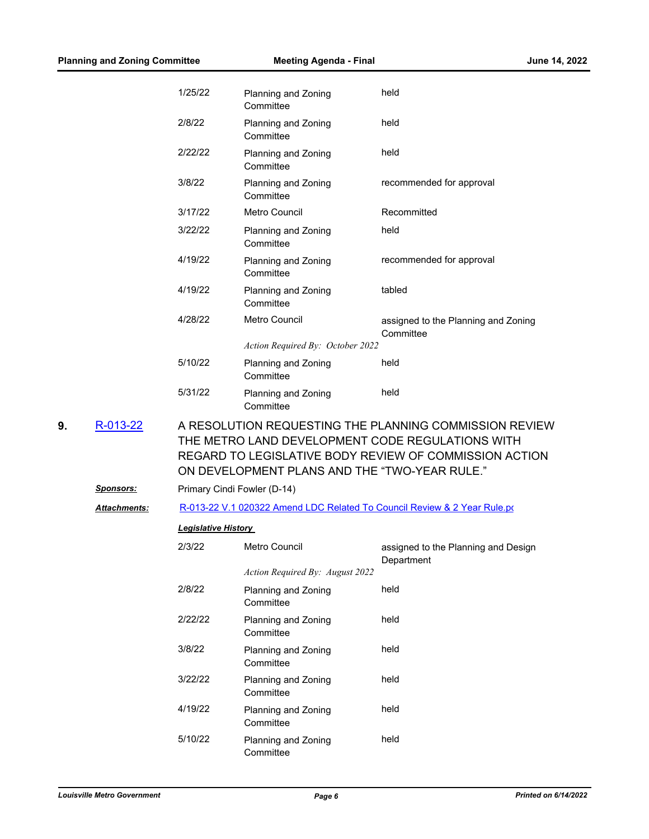|    |                     | 1/25/22                     | Planning and Zoning<br>Committee              | held                                                                                                                                                                 |
|----|---------------------|-----------------------------|-----------------------------------------------|----------------------------------------------------------------------------------------------------------------------------------------------------------------------|
|    |                     | 2/8/22                      | Planning and Zoning<br>Committee              | held                                                                                                                                                                 |
|    |                     | 2/22/22                     | Planning and Zoning<br>Committee              | held                                                                                                                                                                 |
|    |                     | 3/8/22                      | Planning and Zoning<br>Committee              | recommended for approval                                                                                                                                             |
|    |                     | 3/17/22                     | Metro Council                                 | Recommitted                                                                                                                                                          |
|    |                     | 3/22/22                     | Planning and Zoning<br>Committee              | held                                                                                                                                                                 |
|    |                     | 4/19/22                     | Planning and Zoning<br>Committee              | recommended for approval                                                                                                                                             |
|    |                     | 4/19/22                     | Planning and Zoning<br>Committee              | tabled                                                                                                                                                               |
|    |                     | 4/28/22                     | Metro Council                                 | assigned to the Planning and Zoning<br>Committee                                                                                                                     |
|    |                     |                             | Action Required By: October 2022              |                                                                                                                                                                      |
|    |                     | 5/10/22                     | Planning and Zoning<br>Committee              | held                                                                                                                                                                 |
|    |                     | 5/31/22                     | Planning and Zoning<br>Committee              | held                                                                                                                                                                 |
| 9. | R-013-22            |                             | ON DEVELOPMENT PLANS AND THE "TWO-YEAR RULE." | A RESOLUTION REQUESTING THE PLANNING COMMISSION REVIEW<br>THE METRO LAND DEVELOPMENT CODE REGULATIONS WITH<br>REGARD TO LEGISLATIVE BODY REVIEW OF COMMISSION ACTION |
|    | <u>Sponsors:</u>    | Primary Cindi Fowler (D-14) |                                               |                                                                                                                                                                      |
|    | <b>Attachments:</b> |                             |                                               | R-013-22 V.1 020322 Amend LDC Related To Council Review & 2 Year Rule.po                                                                                             |
|    |                     | <b>Legislative History</b>  |                                               |                                                                                                                                                                      |
|    |                     | 2/3/22                      | <b>Metro Council</b>                          | assigned to the Planning and Design<br>Department                                                                                                                    |
|    |                     |                             | Action Required By: August 2022               |                                                                                                                                                                      |
|    |                     | 2/8/22                      | Planning and Zoning<br>Committee              | held                                                                                                                                                                 |
|    |                     | 2/22/22                     | Planning and Zoning<br>Committee              | held                                                                                                                                                                 |
|    |                     | 3/8/22                      | Planning and Zoning<br>Committee              | held                                                                                                                                                                 |
|    |                     | 3/22/22                     | Planning and Zoning<br>Committee              | held                                                                                                                                                                 |
|    |                     | 4/19/22                     | Planning and Zoning<br>Committee              | held                                                                                                                                                                 |
|    |                     | 5/10/22                     | Planning and Zoning<br>Committee              | held                                                                                                                                                                 |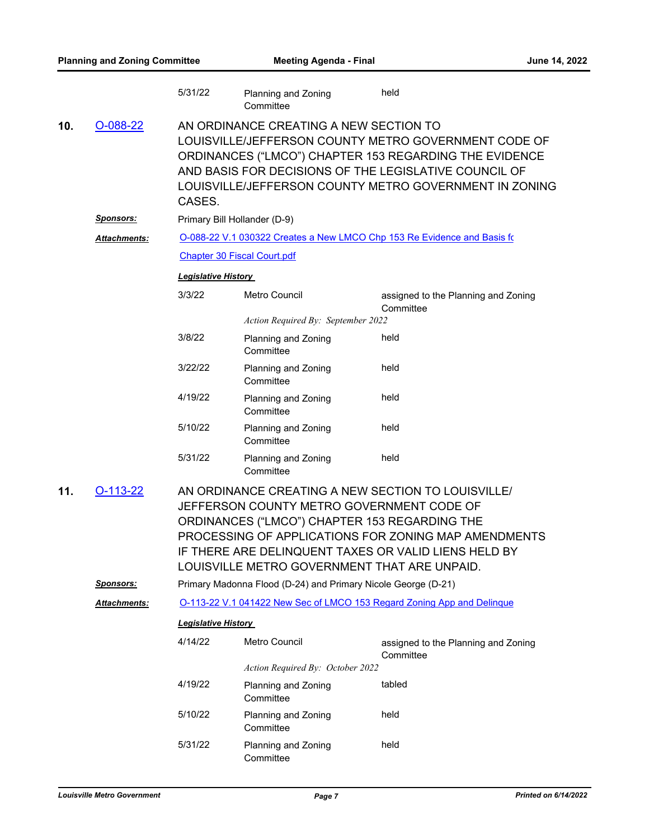|     |                      | 5/31/22                                                                | Planning and Zoning<br>Committee                                                                                                           | held                                                                                                                                                                                                                              |  |  |
|-----|----------------------|------------------------------------------------------------------------|--------------------------------------------------------------------------------------------------------------------------------------------|-----------------------------------------------------------------------------------------------------------------------------------------------------------------------------------------------------------------------------------|--|--|
| 10. | O-088-22             | CASES.                                                                 | AN ORDINANCE CREATING A NEW SECTION TO                                                                                                     | LOUISVILLE/JEFFERSON COUNTY METRO GOVERNMENT CODE OF<br>ORDINANCES ("LMCO") CHAPTER 153 REGARDING THE EVIDENCE<br>AND BASIS FOR DECISIONS OF THE LEGISLATIVE COUNCIL OF<br>LOUISVILLE/JEFFERSON COUNTY METRO GOVERNMENT IN ZONING |  |  |
|     | <b>Sponsors:</b>     |                                                                        | Primary Bill Hollander (D-9)                                                                                                               |                                                                                                                                                                                                                                   |  |  |
|     | Attachments:         |                                                                        |                                                                                                                                            | O-088-22 V.1 030322 Creates a New LMCO Chp 153 Re Evidence and Basis fo                                                                                                                                                           |  |  |
|     |                      |                                                                        | <b>Chapter 30 Fiscal Court.pdf</b>                                                                                                         |                                                                                                                                                                                                                                   |  |  |
|     |                      | <b>Legislative History</b>                                             |                                                                                                                                            |                                                                                                                                                                                                                                   |  |  |
|     |                      | 3/3/22                                                                 | <b>Metro Council</b>                                                                                                                       | assigned to the Planning and Zoning<br>Committee                                                                                                                                                                                  |  |  |
|     |                      |                                                                        | Action Required By: September 2022                                                                                                         |                                                                                                                                                                                                                                   |  |  |
|     |                      | 3/8/22                                                                 | Planning and Zoning<br>Committee                                                                                                           | held                                                                                                                                                                                                                              |  |  |
|     |                      | 3/22/22                                                                | Planning and Zoning<br>Committee                                                                                                           | held                                                                                                                                                                                                                              |  |  |
|     |                      | 4/19/22                                                                | Planning and Zoning<br>Committee                                                                                                           | held                                                                                                                                                                                                                              |  |  |
|     |                      | 5/10/22                                                                | Planning and Zoning<br>Committee                                                                                                           | held                                                                                                                                                                                                                              |  |  |
|     |                      | 5/31/22                                                                | Planning and Zoning<br>Committee                                                                                                           | held                                                                                                                                                                                                                              |  |  |
| 11. | $O-113-22$           |                                                                        | JEFFERSON COUNTY METRO GOVERNMENT CODE OF<br>ORDINANCES ("LMCO") CHAPTER 153 REGARDING THE<br>LOUISVILLE METRO GOVERNMENT THAT ARE UNPAID. | AN ORDINANCE CREATING A NEW SECTION TO LOUISVILLE/<br>PROCESSING OF APPLICATIONS FOR ZONING MAP AMENDMENTS<br>IF THERE ARE DELINQUENT TAXES OR VALID LIENS HELD BY                                                                |  |  |
|     | <u>Sponsors:</u>     |                                                                        | Primary Madonna Flood (D-24) and Primary Nicole George (D-21)                                                                              |                                                                                                                                                                                                                                   |  |  |
|     | <u> Attachments:</u> | O-113-22 V.1 041422 New Sec of LMCO 153 Regard Zoning App and Delinque |                                                                                                                                            |                                                                                                                                                                                                                                   |  |  |
|     |                      | <b>Legislative History</b>                                             |                                                                                                                                            |                                                                                                                                                                                                                                   |  |  |
|     |                      | 4/14/22                                                                | Metro Council                                                                                                                              | assigned to the Planning and Zoning<br>Committee                                                                                                                                                                                  |  |  |
|     |                      |                                                                        | Action Required By: October 2022                                                                                                           |                                                                                                                                                                                                                                   |  |  |
|     |                      | 4/19/22                                                                | Planning and Zoning<br>Committee                                                                                                           | tabled                                                                                                                                                                                                                            |  |  |
|     |                      | 5/10/22                                                                | Planning and Zoning<br>Committee                                                                                                           | held                                                                                                                                                                                                                              |  |  |
|     |                      | 5/31/22                                                                | Planning and Zoning<br>Committee                                                                                                           | held                                                                                                                                                                                                                              |  |  |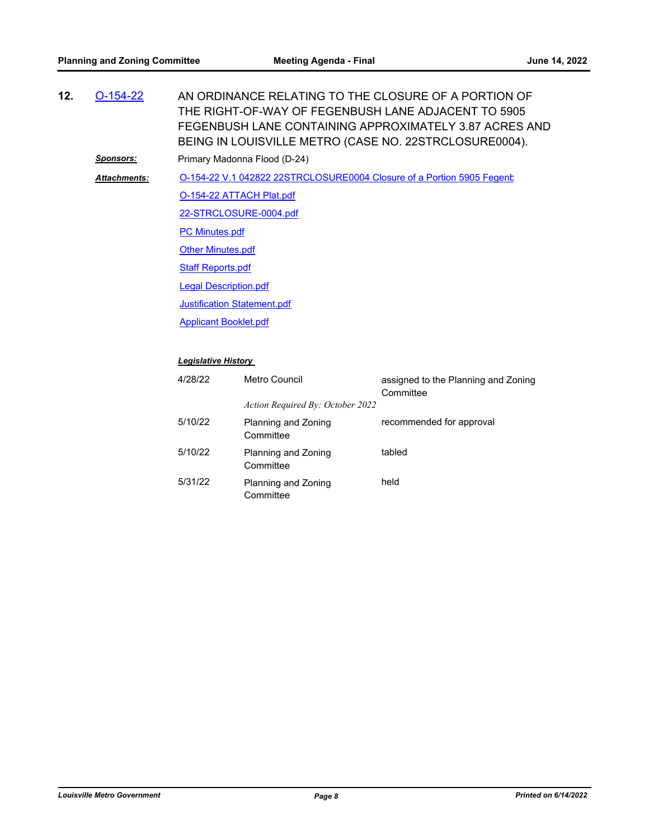| 12. | $O-154-22$          | AN ORDINANCE RELATING TO THE CLOSURE OF A PORTION OF<br>THE RIGHT-OF-WAY OF FEGENBUSH LANE ADJACENT TO 5905<br>FEGENBUSH LANE CONTAINING APPROXIMATELY 3.87 ACRES AND<br>BEING IN LOUISVILLE METRO (CASE NO. 22STRCLOSURE0004). |
|-----|---------------------|---------------------------------------------------------------------------------------------------------------------------------------------------------------------------------------------------------------------------------|
|     | <u>Sponsors:</u>    | Primary Madonna Flood (D-24)                                                                                                                                                                                                    |
|     | <b>Attachments:</b> | O-154-22 V.1 042822 22STRCLOSURE0004 Closure of a Portion 5905 Fegent                                                                                                                                                           |
|     |                     | O-154-22 ATTACH Plat.pdf                                                                                                                                                                                                        |
|     |                     | 22-STRCLOSURE-0004.pdf                                                                                                                                                                                                          |
|     |                     | <b>PC Minutes.pdf</b>                                                                                                                                                                                                           |
|     |                     | <b>Other Minutes.pdf</b>                                                                                                                                                                                                        |
|     |                     | <b>Staff Reports.pdf</b>                                                                                                                                                                                                        |
|     |                     | <b>Legal Description.pdf</b>                                                                                                                                                                                                    |
|     |                     | <b>Justification Statement.pdf</b>                                                                                                                                                                                              |
|     |                     | <b>Applicant Booklet.pdf</b>                                                                                                                                                                                                    |
|     |                     | <b>Legislative History</b>                                                                                                                                                                                                      |

#### 4/28/22 Metro Council assigned to the Planning and Zoning **Committee** *Action Required By: October 2022* 5/10/22 Planning and Zoning **Committee** recommended for approval 5/10/22 Planning and Zoning **Committee** tabled 5/31/22 Planning and Zoning **Committee** held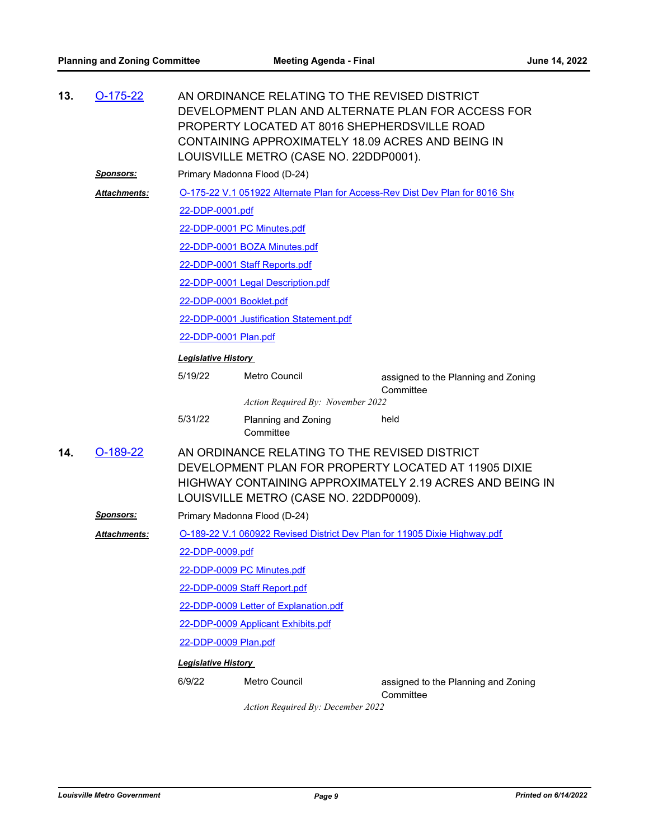| $O-175-22$          | AN ORDINANCE RELATING TO THE REVISED DISTRICT<br>DEVELOPMENT PLAN AND ALTERNATE PLAN FOR ACCESS FOR<br>PROPERTY LOCATED AT 8016 SHEPHERDSVILLE ROAD<br>CONTAINING APPROXIMATELY 18.09 ACRES AND BEING IN    |                                  |                                                                                                                                                                                                                                                                                                                                                                                                                                                                                                                      |  |  |  |  |
|---------------------|-------------------------------------------------------------------------------------------------------------------------------------------------------------------------------------------------------------|----------------------------------|----------------------------------------------------------------------------------------------------------------------------------------------------------------------------------------------------------------------------------------------------------------------------------------------------------------------------------------------------------------------------------------------------------------------------------------------------------------------------------------------------------------------|--|--|--|--|
| <u>Sponsors:</u>    |                                                                                                                                                                                                             |                                  |                                                                                                                                                                                                                                                                                                                                                                                                                                                                                                                      |  |  |  |  |
|                     |                                                                                                                                                                                                             |                                  |                                                                                                                                                                                                                                                                                                                                                                                                                                                                                                                      |  |  |  |  |
|                     |                                                                                                                                                                                                             |                                  |                                                                                                                                                                                                                                                                                                                                                                                                                                                                                                                      |  |  |  |  |
|                     |                                                                                                                                                                                                             |                                  |                                                                                                                                                                                                                                                                                                                                                                                                                                                                                                                      |  |  |  |  |
|                     |                                                                                                                                                                                                             |                                  |                                                                                                                                                                                                                                                                                                                                                                                                                                                                                                                      |  |  |  |  |
|                     |                                                                                                                                                                                                             |                                  |                                                                                                                                                                                                                                                                                                                                                                                                                                                                                                                      |  |  |  |  |
|                     |                                                                                                                                                                                                             |                                  |                                                                                                                                                                                                                                                                                                                                                                                                                                                                                                                      |  |  |  |  |
|                     |                                                                                                                                                                                                             |                                  |                                                                                                                                                                                                                                                                                                                                                                                                                                                                                                                      |  |  |  |  |
|                     |                                                                                                                                                                                                             |                                  |                                                                                                                                                                                                                                                                                                                                                                                                                                                                                                                      |  |  |  |  |
|                     | 22-DDP-0001 Plan.pdf                                                                                                                                                                                        |                                  |                                                                                                                                                                                                                                                                                                                                                                                                                                                                                                                      |  |  |  |  |
|                     | <b>Legislative History</b>                                                                                                                                                                                  |                                  |                                                                                                                                                                                                                                                                                                                                                                                                                                                                                                                      |  |  |  |  |
|                     | 5/19/22                                                                                                                                                                                                     | Metro Council                    | assigned to the Planning and Zoning<br>Committee                                                                                                                                                                                                                                                                                                                                                                                                                                                                     |  |  |  |  |
|                     |                                                                                                                                                                                                             |                                  |                                                                                                                                                                                                                                                                                                                                                                                                                                                                                                                      |  |  |  |  |
|                     | 5/31/22                                                                                                                                                                                                     | Planning and Zoning<br>Committee | held                                                                                                                                                                                                                                                                                                                                                                                                                                                                                                                 |  |  |  |  |
| $O-189-22$          | AN ORDINANCE RELATING TO THE REVISED DISTRICT<br>DEVELOPMENT PLAN FOR PROPERTY LOCATED AT 11905 DIXIE<br>HIGHWAY CONTAINING APPROXIMATELY 2.19 ACRES AND BEING IN<br>LOUISVILLE METRO (CASE NO. 22DDP0009). |                                  |                                                                                                                                                                                                                                                                                                                                                                                                                                                                                                                      |  |  |  |  |
| <u>Sponsors:</u>    |                                                                                                                                                                                                             |                                  |                                                                                                                                                                                                                                                                                                                                                                                                                                                                                                                      |  |  |  |  |
| <b>Attachments:</b> | O-189-22 V.1 060922 Revised District Dev Plan for 11905 Dixie Highway.pdf                                                                                                                                   |                                  |                                                                                                                                                                                                                                                                                                                                                                                                                                                                                                                      |  |  |  |  |
|                     | 22-DDP-0009.pdf                                                                                                                                                                                             |                                  |                                                                                                                                                                                                                                                                                                                                                                                                                                                                                                                      |  |  |  |  |
|                     |                                                                                                                                                                                                             |                                  |                                                                                                                                                                                                                                                                                                                                                                                                                                                                                                                      |  |  |  |  |
|                     | 22-DDP-0009 Staff Report.pdf                                                                                                                                                                                |                                  |                                                                                                                                                                                                                                                                                                                                                                                                                                                                                                                      |  |  |  |  |
|                     | 22-DDP-0009 Letter of Explanation.pdf                                                                                                                                                                       |                                  |                                                                                                                                                                                                                                                                                                                                                                                                                                                                                                                      |  |  |  |  |
|                     | 22-DDP-0009 Applicant Exhibits.pdf                                                                                                                                                                          |                                  |                                                                                                                                                                                                                                                                                                                                                                                                                                                                                                                      |  |  |  |  |
|                     | 22-DDP-0009 Plan.pdf                                                                                                                                                                                        |                                  |                                                                                                                                                                                                                                                                                                                                                                                                                                                                                                                      |  |  |  |  |
|                     |                                                                                                                                                                                                             |                                  |                                                                                                                                                                                                                                                                                                                                                                                                                                                                                                                      |  |  |  |  |
|                     |                                                                                                                                                                                                             |                                  |                                                                                                                                                                                                                                                                                                                                                                                                                                                                                                                      |  |  |  |  |
|                     | Attachments:                                                                                                                                                                                                |                                  | LOUISVILLE METRO (CASE NO. 22DDP0001).<br>Primary Madonna Flood (D-24)<br>O-175-22 V.1 051922 Alternate Plan for Access-Rev Dist Dev Plan for 8016 She<br>22-DDP-0001.pdf<br>22-DDP-0001 PC Minutes.pdf<br>22-DDP-0001 BOZA Minutes.pdf<br>22-DDP-0001 Staff Reports.pdf<br>22-DDP-0001 Legal Description.pdf<br>22-DDP-0001 Booklet.pdf<br>22-DDP-0001 Justification Statement.pdf<br>Action Required By: November 2022<br>Primary Madonna Flood (D-24)<br>22-DDP-0009 PC Minutes.pdf<br><b>Legislative History</b> |  |  |  |  |

*Action Required By: December 2022*